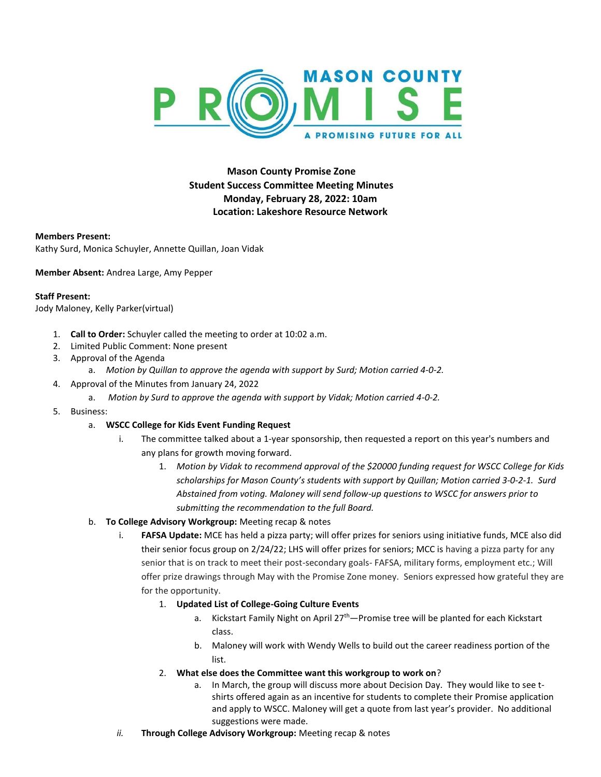

**Mason County Promise Zone Student Success Committee Meeting Minutes Monday, February 28, 2022: 10am Location: Lakeshore Resource Network**

## **Members Present:**

Kathy Surd, Monica Schuyler, Annette Quillan, Joan Vidak

**Member Absent:** Andrea Large, Amy Pepper

## **Staff Present:**

Jody Maloney, Kelly Parker(virtual)

- 1. **Call to Order:** Schuyler called the meeting to order at 10:02 a.m.
- 2. Limited Public Comment: None present
- 3. Approval of the Agenda
	- a. *Motion by Quillan to approve the agenda with support by Surd; Motion carried 4-0-2.*
- 4. Approval of the Minutes from January 24, 2022
	- a. *Motion by Surd to approve the agenda with support by Vidak; Motion carried 4-0-2.*
- 5. Business:

## a. **WSCC College for Kids Event Funding Request**

- i. The committee talked about a 1-year sponsorship, then requested a report on this year's numbers and any plans for growth moving forward.
	- 1. *Motion by Vidak to recommend approval of the \$20000 funding request for WSCC College for Kids scholarships for Mason County's students with support by Quillan; Motion carried 3-0-2-1. Surd Abstained from voting. Maloney will send follow-up questions to WSCC for answers prior to submitting the recommendation to the full Board.*

## b. **To College Advisory Workgroup:** Meeting recap & notes

- i. **FAFSA Update:** MCE has held a pizza party; will offer prizes for seniors using initiative funds, MCE also did their senior focus group on 2/24/22; LHS will offer prizes for seniors; MCC is having a pizza party for any senior that is on track to meet their post-secondary goals- FAFSA, military forms, employment etc.; Will offer prize drawings through May with the Promise Zone money. Seniors expressed how grateful they are for the opportunity.
	- 1. **Updated List of College-Going Culture Events**
		- a. Kickstart Family Night on April 27<sup>th</sup>—Promise tree will be planted for each Kickstart class.
		- b. Maloney will work with Wendy Wells to build out the career readiness portion of the list.
	- 2. **What else does the Committee want this workgroup to work on**?
		- a. In March, the group will discuss more about Decision Day. They would like to see tshirts offered again as an incentive for students to complete their Promise application and apply to WSCC. Maloney will get a quote from last year's provider. No additional suggestions were made.
- *ii.* **Through College Advisory Workgroup:** Meeting recap & notes